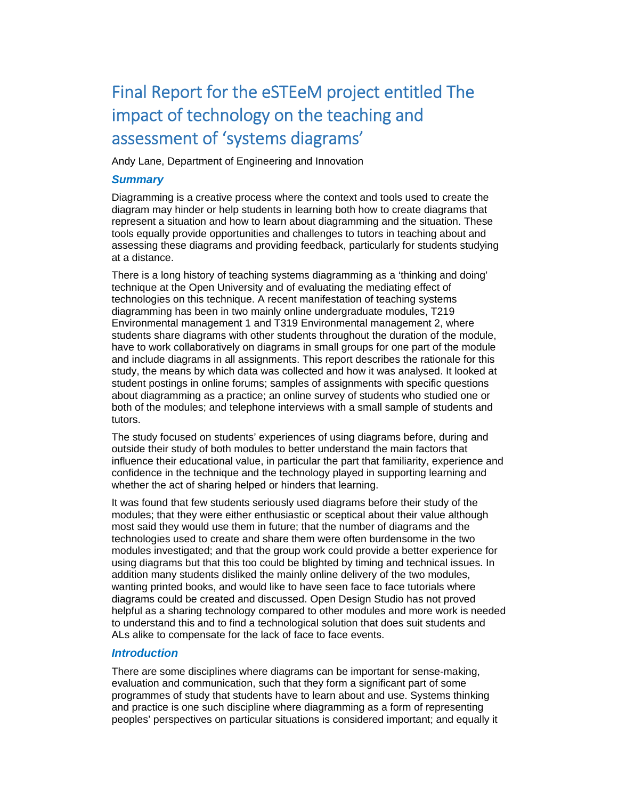# Final Report for the eSTEeM project entitled The impact of technology on the teaching and assessment of 'systems diagrams'

Andy Lane, Department of Engineering and Innovation

# *Summary*

Diagramming is a creative process where the context and tools used to create the diagram may hinder or help students in learning both how to create diagrams that represent a situation and how to learn about diagramming and the situation. These tools equally provide opportunities and challenges to tutors in teaching about and assessing these diagrams and providing feedback, particularly for students studying at a distance.

There is a long history of teaching systems diagramming as a 'thinking and doing' technique at the Open University and of evaluating the mediating effect of technologies on this technique. A recent manifestation of teaching systems diagramming has been in two mainly online undergraduate modules, T219 Environmental management 1 and T319 Environmental management 2, where students share diagrams with other students throughout the duration of the module, have to work collaboratively on diagrams in small groups for one part of the module and include diagrams in all assignments. This report describes the rationale for this study, the means by which data was collected and how it was analysed. It looked at student postings in online forums; samples of assignments with specific questions about diagramming as a practice; an online survey of students who studied one or both of the modules; and telephone interviews with a small sample of students and tutors.

The study focused on students' experiences of using diagrams before, during and outside their study of both modules to better understand the main factors that influence their educational value, in particular the part that familiarity, experience and confidence in the technique and the technology played in supporting learning and whether the act of sharing helped or hinders that learning.

It was found that few students seriously used diagrams before their study of the modules; that they were either enthusiastic or sceptical about their value although most said they would use them in future; that the number of diagrams and the technologies used to create and share them were often burdensome in the two modules investigated; and that the group work could provide a better experience for using diagrams but that this too could be blighted by timing and technical issues. In addition many students disliked the mainly online delivery of the two modules, wanting printed books, and would like to have seen face to face tutorials where diagrams could be created and discussed. Open Design Studio has not proved helpful as a sharing technology compared to other modules and more work is needed to understand this and to find a technological solution that does suit students and ALs alike to compensate for the lack of face to face events.

# *Introduction*

There are some disciplines where diagrams can be important for sense-making, evaluation and communication, such that they form a significant part of some programmes of study that students have to learn about and use. Systems thinking and practice is one such discipline where diagramming as a form of representing peoples' perspectives on particular situations is considered important; and equally it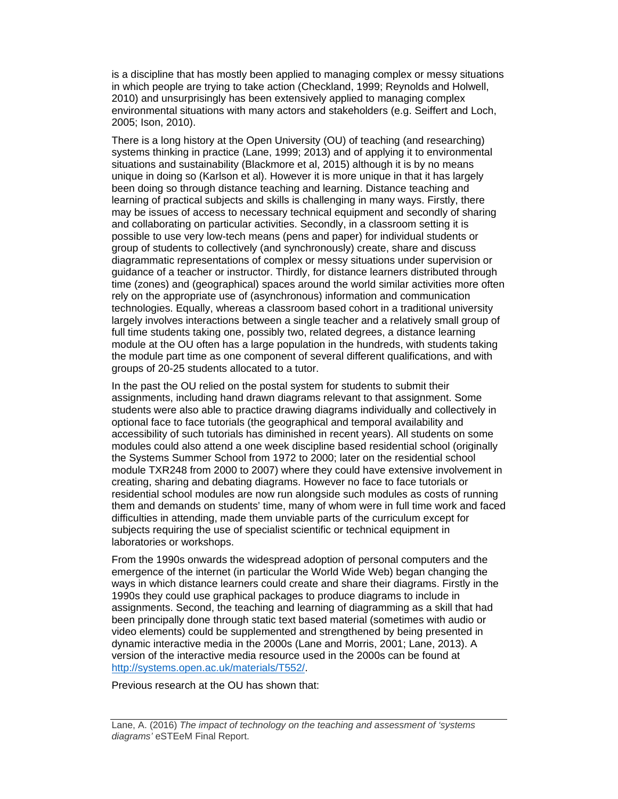is a discipline that has mostly been applied to managing complex or messy situations in which people are trying to take action (Checkland, 1999; Reynolds and Holwell, 2010) and unsurprisingly has been extensively applied to managing complex environmental situations with many actors and stakeholders (e.g. Seiffert and Loch, 2005; Ison, 2010).

There is a long history at the Open University (OU) of teaching (and researching) systems thinking in practice (Lane, 1999; 2013) and of applying it to environmental situations and sustainability (Blackmore et al, 2015) although it is by no means unique in doing so (Karlson et al). However it is more unique in that it has largely been doing so through distance teaching and learning. Distance teaching and learning of practical subjects and skills is challenging in many ways. Firstly, there may be issues of access to necessary technical equipment and secondly of sharing and collaborating on particular activities. Secondly, in a classroom setting it is possible to use very low-tech means (pens and paper) for individual students or group of students to collectively (and synchronously) create, share and discuss diagrammatic representations of complex or messy situations under supervision or guidance of a teacher or instructor. Thirdly, for distance learners distributed through time (zones) and (geographical) spaces around the world similar activities more often rely on the appropriate use of (asynchronous) information and communication technologies. Equally, whereas a classroom based cohort in a traditional university largely involves interactions between a single teacher and a relatively small group of full time students taking one, possibly two, related degrees, a distance learning module at the OU often has a large population in the hundreds, with students taking the module part time as one component of several different qualifications, and with groups of 20-25 students allocated to a tutor.

In the past the OU relied on the postal system for students to submit their assignments, including hand drawn diagrams relevant to that assignment. Some students were also able to practice drawing diagrams individually and collectively in optional face to face tutorials (the geographical and temporal availability and accessibility of such tutorials has diminished in recent years). All students on some modules could also attend a one week discipline based residential school (originally the Systems Summer School from 1972 to 2000; later on the residential school module TXR248 from 2000 to 2007) where they could have extensive involvement in creating, sharing and debating diagrams. However no face to face tutorials or residential school modules are now run alongside such modules as costs of running them and demands on students' time, many of whom were in full time work and faced difficulties in attending, made them unviable parts of the curriculum except for subjects requiring the use of specialist scientific or technical equipment in laboratories or workshops.

From the 1990s onwards the widespread adoption of personal computers and the emergence of the internet (in particular the World Wide Web) began changing the ways in which distance learners could create and share their diagrams. Firstly in the 1990s they could use graphical packages to produce diagrams to include in assignments. Second, the teaching and learning of diagramming as a skill that had been principally done through static text based material (sometimes with audio or video elements) could be supplemented and strengthened by being presented in dynamic interactive media in the 2000s (Lane and Morris, 2001; Lane, 2013). A version of the interactive media resource used in the 2000s can be found at http://systems.open.ac.uk/materials/T552/.

Previous research at the OU has shown that: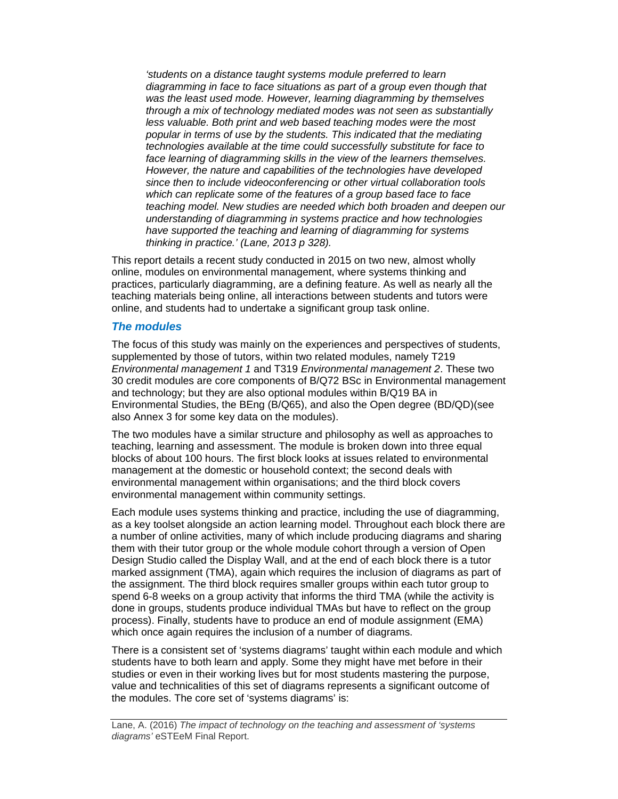*'students on a distance taught systems module preferred to learn diagramming in face to face situations as part of a group even though that was the least used mode. However, learning diagramming by themselves through a mix of technology mediated modes was not seen as substantially less valuable. Both print and web based teaching modes were the most popular in terms of use by the students. This indicated that the mediating technologies available at the time could successfully substitute for face to face learning of diagramming skills in the view of the learners themselves. However, the nature and capabilities of the technologies have developed since then to include videoconferencing or other virtual collaboration tools which can replicate some of the features of a group based face to face teaching model. New studies are needed which both broaden and deepen our understanding of diagramming in systems practice and how technologies have supported the teaching and learning of diagramming for systems thinking in practice.' (Lane, 2013 p 328).* 

This report details a recent study conducted in 2015 on two new, almost wholly online, modules on environmental management, where systems thinking and practices, particularly diagramming, are a defining feature. As well as nearly all the teaching materials being online, all interactions between students and tutors were online, and students had to undertake a significant group task online.

# *The modules*

The focus of this study was mainly on the experiences and perspectives of students, supplemented by those of tutors, within two related modules, namely T219 *Environmental management 1* and T319 *Environmental management 2*. These two 30 credit modules are core components of B/Q72 BSc in Environmental management and technology; but they are also optional modules within B/Q19 BA in Environmental Studies, the BEng (B/Q65), and also the Open degree (BD/QD)(see also Annex 3 for some key data on the modules).

The two modules have a similar structure and philosophy as well as approaches to teaching, learning and assessment. The module is broken down into three equal blocks of about 100 hours. The first block looks at issues related to environmental management at the domestic or household context; the second deals with environmental management within organisations; and the third block covers environmental management within community settings.

Each module uses systems thinking and practice, including the use of diagramming, as a key toolset alongside an action learning model. Throughout each block there are a number of online activities, many of which include producing diagrams and sharing them with their tutor group or the whole module cohort through a version of Open Design Studio called the Display Wall, and at the end of each block there is a tutor marked assignment (TMA), again which requires the inclusion of diagrams as part of the assignment. The third block requires smaller groups within each tutor group to spend 6-8 weeks on a group activity that informs the third TMA (while the activity is done in groups, students produce individual TMAs but have to reflect on the group process). Finally, students have to produce an end of module assignment (EMA) which once again requires the inclusion of a number of diagrams.

There is a consistent set of 'systems diagrams' taught within each module and which students have to both learn and apply. Some they might have met before in their studies or even in their working lives but for most students mastering the purpose, value and technicalities of this set of diagrams represents a significant outcome of the modules. The core set of 'systems diagrams' is: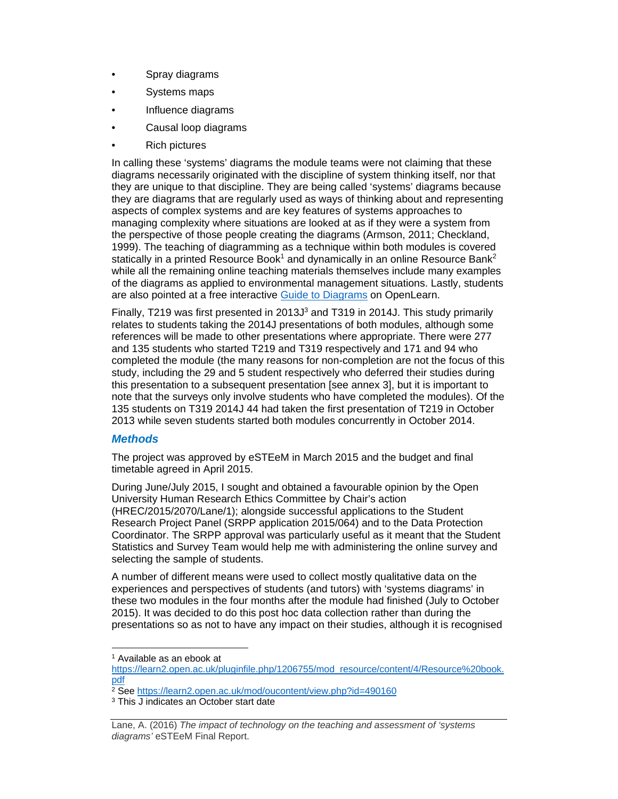- Spray diagrams
- Systems maps
- Influence diagrams
- Causal loop diagrams
- Rich pictures

In calling these 'systems' diagrams the module teams were not claiming that these diagrams necessarily originated with the discipline of system thinking itself, nor that they are unique to that discipline. They are being called 'systems' diagrams because they are diagrams that are regularly used as ways of thinking about and representing aspects of complex systems and are key features of systems approaches to managing complexity where situations are looked at as if they were a system from the perspective of those people creating the diagrams (Armson, 2011; Checkland, 1999). The teaching of diagramming as a technique within both modules is covered statically in a printed Resource Book<sup>1</sup> and dynamically in an online Resource Bank<sup>2</sup> while all the remaining online teaching materials themselves include many examples of the diagrams as applied to environmental management situations. Lastly, students are also pointed at a free interactive Guide to Diagrams on OpenLearn.

Finally, T219 was first presented in 2013 $J<sup>3</sup>$  and T319 in 2014J. This study primarily relates to students taking the 2014J presentations of both modules, although some references will be made to other presentations where appropriate. There were 277 and 135 students who started T219 and T319 respectively and 171 and 94 who completed the module (the many reasons for non-completion are not the focus of this study, including the 29 and 5 student respectively who deferred their studies during this presentation to a subsequent presentation [see annex 3], but it is important to note that the surveys only involve students who have completed the modules). Of the 135 students on T319 2014J 44 had taken the first presentation of T219 in October 2013 while seven students started both modules concurrently in October 2014.

# *Methods*

The project was approved by eSTEeM in March 2015 and the budget and final timetable agreed in April 2015.

During June/July 2015, I sought and obtained a favourable opinion by the Open University Human Research Ethics Committee by Chair's action (HREC/2015/2070/Lane/1); alongside successful applications to the Student Research Project Panel (SRPP application 2015/064) and to the Data Protection Coordinator. The SRPP approval was particularly useful as it meant that the Student Statistics and Survey Team would help me with administering the online survey and selecting the sample of students.

A number of different means were used to collect mostly qualitative data on the experiences and perspectives of students (and tutors) with 'systems diagrams' in these two modules in the four months after the module had finished (July to October 2015). It was decided to do this post hoc data collection rather than during the presentations so as not to have any impact on their studies, although it is recognised

l

<sup>1</sup> Available as an ebook at

https://learn2.open.ac.uk/pluginfile.php/1206755/mod\_resource/content/4/Resource%20book. pdf<br><sup>2</sup> See <u>https://learn2.open.ac.uk/mod/oucontent/view.php?id=490160</u><br><sup>3</sup> This J indicates an October start date

Lane, A. (2016) *The impact of technology on the teaching and assessment of 'systems diagrams'* eSTEeM Final Report.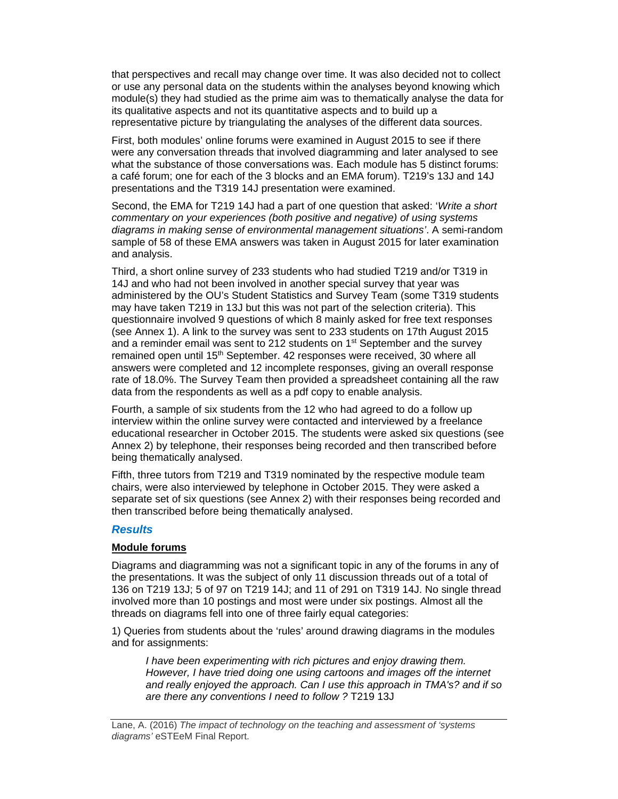that perspectives and recall may change over time. It was also decided not to collect or use any personal data on the students within the analyses beyond knowing which module(s) they had studied as the prime aim was to thematically analyse the data for its qualitative aspects and not its quantitative aspects and to build up a representative picture by triangulating the analyses of the different data sources.

First, both modules' online forums were examined in August 2015 to see if there were any conversation threads that involved diagramming and later analysed to see what the substance of those conversations was. Each module has 5 distinct forums: a café forum; one for each of the 3 blocks and an EMA forum). T219's 13J and 14J presentations and the T319 14J presentation were examined.

Second, the EMA for T219 14J had a part of one question that asked: '*Write a short commentary on your experiences (both positive and negative) of using systems diagrams in making sense of environmental management situations'*. A semi-random sample of 58 of these EMA answers was taken in August 2015 for later examination and analysis.

Third, a short online survey of 233 students who had studied T219 and/or T319 in 14J and who had not been involved in another special survey that year was administered by the OU's Student Statistics and Survey Team (some T319 students may have taken T219 in 13J but this was not part of the selection criteria). This questionnaire involved 9 questions of which 8 mainly asked for free text responses (see Annex 1). A link to the survey was sent to 233 students on 17th August 2015 and a reminder email was sent to 212 students on 1<sup>st</sup> September and the survey remained open until 15<sup>th</sup> September. 42 responses were received, 30 where all answers were completed and 12 incomplete responses, giving an overall response rate of 18.0%. The Survey Team then provided a spreadsheet containing all the raw data from the respondents as well as a pdf copy to enable analysis.

Fourth, a sample of six students from the 12 who had agreed to do a follow up interview within the online survey were contacted and interviewed by a freelance educational researcher in October 2015. The students were asked six questions (see Annex 2) by telephone, their responses being recorded and then transcribed before being thematically analysed.

Fifth, three tutors from T219 and T319 nominated by the respective module team chairs, were also interviewed by telephone in October 2015. They were asked a separate set of six questions (see Annex 2) with their responses being recorded and then transcribed before being thematically analysed.

# *Results*

#### **Module forums**

Diagrams and diagramming was not a significant topic in any of the forums in any of the presentations. It was the subject of only 11 discussion threads out of a total of 136 on T219 13J; 5 of 97 on T219 14J; and 11 of 291 on T319 14J. No single thread involved more than 10 postings and most were under six postings. Almost all the threads on diagrams fell into one of three fairly equal categories:

1) Queries from students about the 'rules' around drawing diagrams in the modules and for assignments:

*I have been experimenting with rich pictures and enjoy drawing them. However, I have tried doing one using cartoons and images off the internet and really enjoyed the approach. Can I use this approach in TMA's? and if so are there any conventions I need to follow ?* T219 13J

Lane, A. (2016) *The impact of technology on the teaching and assessment of 'systems diagrams'* eSTEeM Final Report.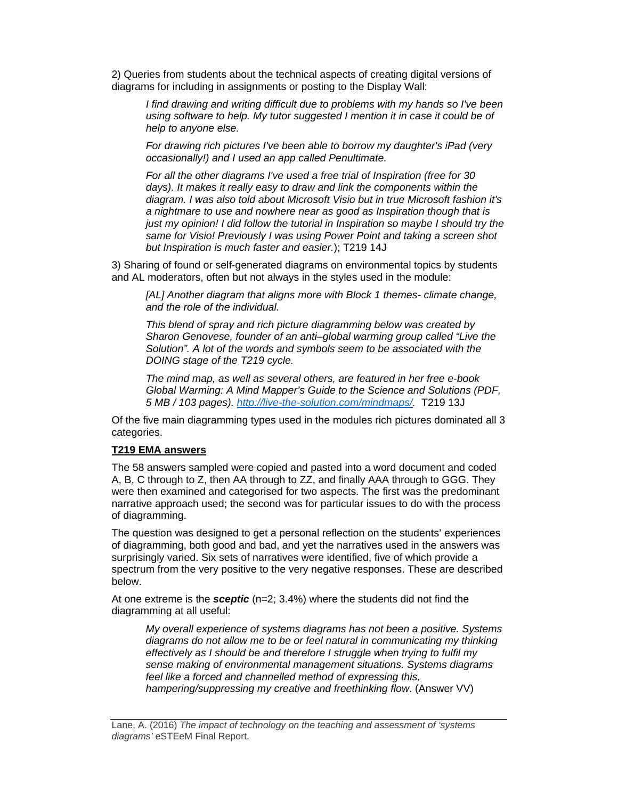2) Queries from students about the technical aspects of creating digital versions of diagrams for including in assignments or posting to the Display Wall:

*I find drawing and writing difficult due to problems with my hands so I've been using software to help. My tutor suggested I mention it in case it could be of help to anyone else.* 

*For drawing rich pictures I've been able to borrow my daughter's iPad (very occasionally!) and I used an app called Penultimate.* 

*For all the other diagrams I've used a free trial of Inspiration (free for 30 days). It makes it really easy to draw and link the components within the diagram. I was also told about Microsoft Visio but in true Microsoft fashion it's a nightmare to use and nowhere near as good as Inspiration though that is just my opinion! I did follow the tutorial in Inspiration so maybe I should try the same for Visio! Previously I was using Power Point and taking a screen shot but Inspiration is much faster and easier.*); T219 14J

3) Sharing of found or self-generated diagrams on environmental topics by students and AL moderators, often but not always in the styles used in the module:

*[AL] Another diagram that aligns more with Block 1 themes- climate change, and the role of the individual.* 

*This blend of spray and rich picture diagramming below was created by Sharon Genovese, founder of an anti–global warming group called "Live the Solution". A lot of the words and symbols seem to be associated with the DOING stage of the T219 cycle.* 

*The mind map, as well as several others, are featured in her free e-book Global Warming: A Mind Mapper's Guide to the Science and Solutions (PDF, 5 MB / 103 pages). http://live-the-solution.com/mindmaps/.* T219 13J

Of the five main diagramming types used in the modules rich pictures dominated all 3 categories.

#### **T219 EMA answers**

The 58 answers sampled were copied and pasted into a word document and coded A, B, C through to Z, then AA through to ZZ, and finally AAA through to GGG. They were then examined and categorised for two aspects. The first was the predominant narrative approach used; the second was for particular issues to do with the process of diagramming.

The question was designed to get a personal reflection on the students' experiences of diagramming, both good and bad, and yet the narratives used in the answers was surprisingly varied. Six sets of narratives were identified, five of which provide a spectrum from the very positive to the very negative responses. These are described below.

At one extreme is the *sceptic* (n=2; 3.4%) where the students did not find the diagramming at all useful:

*My overall experience of systems diagrams has not been a positive. Systems diagrams do not allow me to be or feel natural in communicating my thinking effectively as I should be and therefore I struggle when trying to fulfil my sense making of environmental management situations. Systems diagrams feel like a forced and channelled method of expressing this, hampering/suppressing my creative and freethinking flow*. (Answer VV)

Lane, A. (2016) *The impact of technology on the teaching and assessment of 'systems diagrams'* eSTEeM Final Report.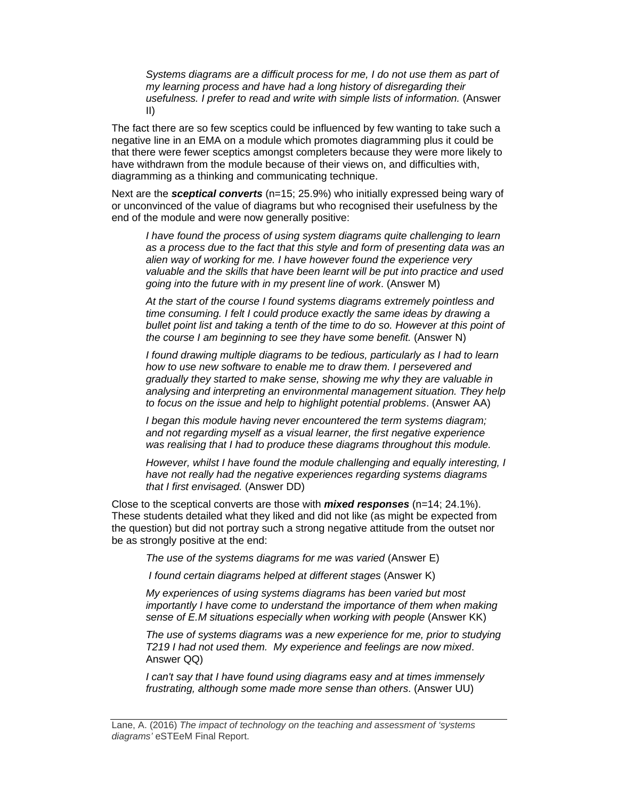*Systems diagrams are a difficult process for me, I do not use them as part of my learning process and have had a long history of disregarding their usefulness. I prefer to read and write with simple lists of information.* (Answer II)

The fact there are so few sceptics could be influenced by few wanting to take such a negative line in an EMA on a module which promotes diagramming plus it could be that there were fewer sceptics amongst completers because they were more likely to have withdrawn from the module because of their views on, and difficulties with, diagramming as a thinking and communicating technique.

Next are the *sceptical converts* (n=15; 25.9%) who initially expressed being wary of or unconvinced of the value of diagrams but who recognised their usefulness by the end of the module and were now generally positive:

*I have found the process of using system diagrams quite challenging to learn as a process due to the fact that this style and form of presenting data was an alien way of working for me. I have however found the experience very valuable and the skills that have been learnt will be put into practice and used going into the future with in my present line of work*. (Answer M)

*At the start of the course I found systems diagrams extremely pointless and time consuming. I felt I could produce exactly the same ideas by drawing a bullet point list and taking a tenth of the time to do so. However at this point of the course I am beginning to see they have some benefit.* (Answer N)

*I found drawing multiple diagrams to be tedious, particularly as I had to learn how to use new software to enable me to draw them. I persevered and gradually they started to make sense, showing me why they are valuable in analysing and interpreting an environmental management situation. They help to focus on the issue and help to highlight potential problems*. (Answer AA)

*I began this module having never encountered the term systems diagram; and not regarding myself as a visual learner, the first negative experience was realising that I had to produce these diagrams throughout this module.* 

*However, whilst I have found the module challenging and equally interesting, I have not really had the negative experiences regarding systems diagrams that I first envisaged.* (Answer DD)

Close to the sceptical converts are those with *mixed responses* (n=14; 24.1%). These students detailed what they liked and did not like (as might be expected from the question) but did not portray such a strong negative attitude from the outset nor be as strongly positive at the end:

*The use of the systems diagrams for me was varied* (Answer E)

*I found certain diagrams helped at different stages* (Answer K)

*My experiences of using systems diagrams has been varied but most importantly I have come to understand the importance of them when making sense of E.M situations especially when working with people* (Answer KK)

*The use of systems diagrams was a new experience for me, prior to studying T219 I had not used them. My experience and feelings are now mixed*. Answer QQ)

*I can't say that I have found using diagrams easy and at times immensely frustrating, although some made more sense than others*. (Answer UU)

Lane, A. (2016) *The impact of technology on the teaching and assessment of 'systems diagrams'* eSTEeM Final Report.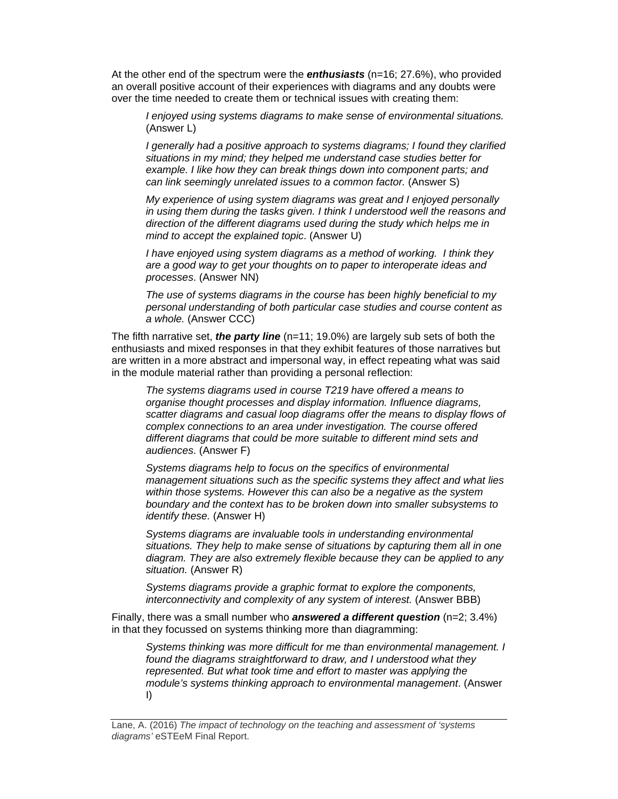At the other end of the spectrum were the *enthusiasts* (n=16; 27.6%), who provided an overall positive account of their experiences with diagrams and any doubts were over the time needed to create them or technical issues with creating them:

*I enjoyed using systems diagrams to make sense of environmental situations.* (Answer L)

*I generally had a positive approach to systems diagrams; I found they clarified situations in my mind; they helped me understand case studies better for example. I like how they can break things down into component parts; and can link seemingly unrelated issues to a common factor.* (Answer S)

*My experience of using system diagrams was great and I enjoyed personally in using them during the tasks given. I think I understood well the reasons and direction of the different diagrams used during the study which helps me in mind to accept the explained topic*. (Answer U)

*I have enjoyed using system diagrams as a method of working. I think they are a good way to get your thoughts on to paper to interoperate ideas and processes*. (Answer NN)

*The use of systems diagrams in the course has been highly beneficial to my personal understanding of both particular case studies and course content as a whole.* (Answer CCC)

The fifth narrative set, *the party line* (n=11; 19.0%) are largely sub sets of both the enthusiasts and mixed responses in that they exhibit features of those narratives but are written in a more abstract and impersonal way, in effect repeating what was said in the module material rather than providing a personal reflection:

*The systems diagrams used in course T219 have offered a means to organise thought processes and display information. Influence diagrams, scatter diagrams and casual loop diagrams offer the means to display flows of complex connections to an area under investigation. The course offered different diagrams that could be more suitable to different mind sets and audiences*. (Answer F)

*Systems diagrams help to focus on the specifics of environmental management situations such as the specific systems they affect and what lies within those systems. However this can also be a negative as the system boundary and the context has to be broken down into smaller subsystems to identify these.* (Answer H)

*Systems diagrams are invaluable tools in understanding environmental situations. They help to make sense of situations by capturing them all in one diagram. They are also extremely flexible because they can be applied to any situation.* (Answer R)

*Systems diagrams provide a graphic format to explore the components, interconnectivity and complexity of any system of interest.* (Answer BBB)

Finally, there was a small number who *answered a different question* (n=2; 3.4%) in that they focussed on systems thinking more than diagramming:

*Systems thinking was more difficult for me than environmental management. I found the diagrams straightforward to draw, and I understood what they represented. But what took time and effort to master was applying the module's systems thinking approach to environmental management*. (Answer I)

Lane, A. (2016) *The impact of technology on the teaching and assessment of 'systems diagrams'* eSTEeM Final Report.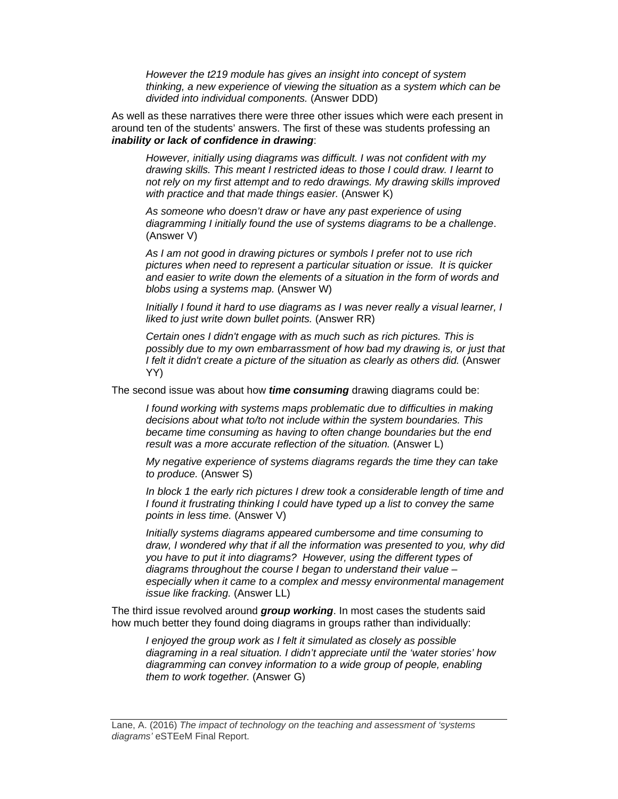*However the t219 module has gives an insight into concept of system thinking, a new experience of viewing the situation as a system which can be divided into individual components.* (Answer DDD)

As well as these narratives there were three other issues which were each present in around ten of the students' answers. The first of these was students professing an *inability or lack of confidence in drawing*:

*However, initially using diagrams was difficult. I was not confident with my drawing skills. This meant I restricted ideas to those I could draw. I learnt to not rely on my first attempt and to redo drawings. My drawing skills improved with practice and that made things easier.* (Answer K)

*As someone who doesn't draw or have any past experience of using diagramming I initially found the use of systems diagrams to be a challenge*. (Answer V)

*As I am not good in drawing pictures or symbols I prefer not to use rich pictures when need to represent a particular situation or issue. It is quicker and easier to write down the elements of a situation in the form of words and blobs using a systems map.* (Answer W)

*Initially I found it hard to use diagrams as I was never really a visual learner, I liked to just write down bullet points.* (Answer RR)

*Certain ones I didn't engage with as much such as rich pictures. This is possibly due to my own embarrassment of how bad my drawing is, or just that I felt it didn't create a picture of the situation as clearly as others did.* (Answer YY)

The second issue was about how *time consuming* drawing diagrams could be:

*I found working with systems maps problematic due to difficulties in making decisions about what to/to not include within the system boundaries. This became time consuming as having to often change boundaries but the end result was a more accurate reflection of the situation.* (Answer L)

*My negative experience of systems diagrams regards the time they can take to produce.* (Answer S)

*In block 1 the early rich pictures I drew took a considerable length of time and I found it frustrating thinking I could have typed up a list to convey the same points in less time.* (Answer V)

*Initially systems diagrams appeared cumbersome and time consuming to draw, I wondered why that if all the information was presented to you, why did you have to put it into diagrams? However, using the different types of diagrams throughout the course I began to understand their value – especially when it came to a complex and messy environmental management issue like fracking.* (Answer LL)

The third issue revolved around *group working*. In most cases the students said how much better they found doing diagrams in groups rather than individually:

*I enjoyed the group work as I felt it simulated as closely as possible diagraming in a real situation. I didn't appreciate until the 'water stories' how diagramming can convey information to a wide group of people, enabling them to work together.* (Answer G)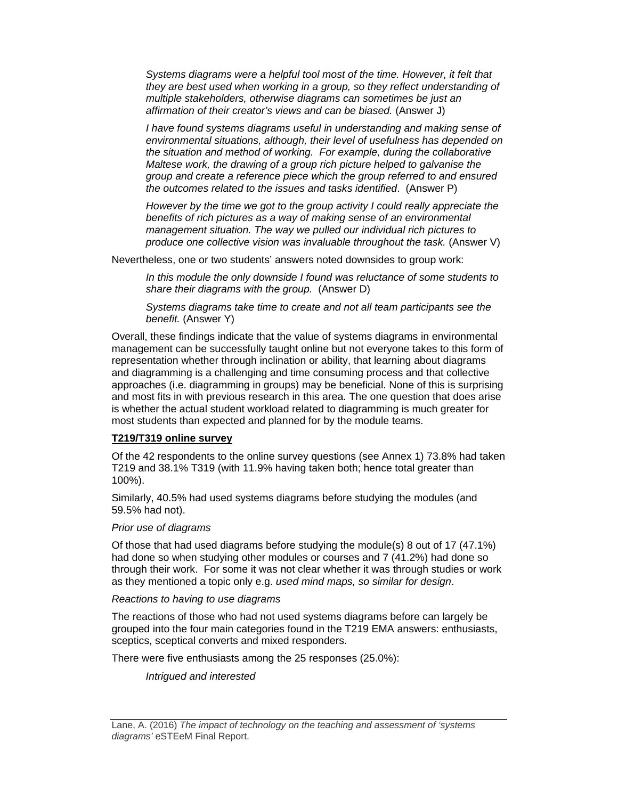*Systems diagrams were a helpful tool most of the time. However, it felt that they are best used when working in a group, so they reflect understanding of multiple stakeholders, otherwise diagrams can sometimes be just an affirmation of their creator's views and can be biased.* (Answer J)

*I have found systems diagrams useful in understanding and making sense of environmental situations, although, their level of usefulness has depended on the situation and method of working. For example, during the collaborative Maltese work, the drawing of a group rich picture helped to galvanise the group and create a reference piece which the group referred to and ensured the outcomes related to the issues and tasks identified*. (Answer P)

*However by the time we got to the group activity I could really appreciate the benefits of rich pictures as a way of making sense of an environmental management situation. The way we pulled our individual rich pictures to produce one collective vision was invaluable throughout the task.* (Answer V)

Nevertheless, one or two students' answers noted downsides to group work:

*In this module the only downside I found was reluctance of some students to share their diagrams with the group.* (Answer D)

*Systems diagrams take time to create and not all team participants see the benefit.* (Answer Y)

Overall, these findings indicate that the value of systems diagrams in environmental management can be successfully taught online but not everyone takes to this form of representation whether through inclination or ability, that learning about diagrams and diagramming is a challenging and time consuming process and that collective approaches (i.e. diagramming in groups) may be beneficial. None of this is surprising and most fits in with previous research in this area. The one question that does arise is whether the actual student workload related to diagramming is much greater for most students than expected and planned for by the module teams.

# **T219/T319 online survey**

Of the 42 respondents to the online survey questions (see Annex 1) 73.8% had taken T219 and 38.1% T319 (with 11.9% having taken both; hence total greater than 100%).

Similarly, 40.5% had used systems diagrams before studying the modules (and 59.5% had not).

# *Prior use of diagrams*

Of those that had used diagrams before studying the module(s) 8 out of 17 (47.1%) had done so when studying other modules or courses and 7 (41.2%) had done so through their work. For some it was not clear whether it was through studies or work as they mentioned a topic only e.g. *used mind maps, so similar for design*.

#### *Reactions to having to use diagrams*

The reactions of those who had not used systems diagrams before can largely be grouped into the four main categories found in the T219 EMA answers: enthusiasts, sceptics, sceptical converts and mixed responders.

There were five enthusiasts among the 25 responses (25.0%):

# *Intrigued and interested*

Lane, A. (2016) *The impact of technology on the teaching and assessment of 'systems diagrams'* eSTEeM Final Report.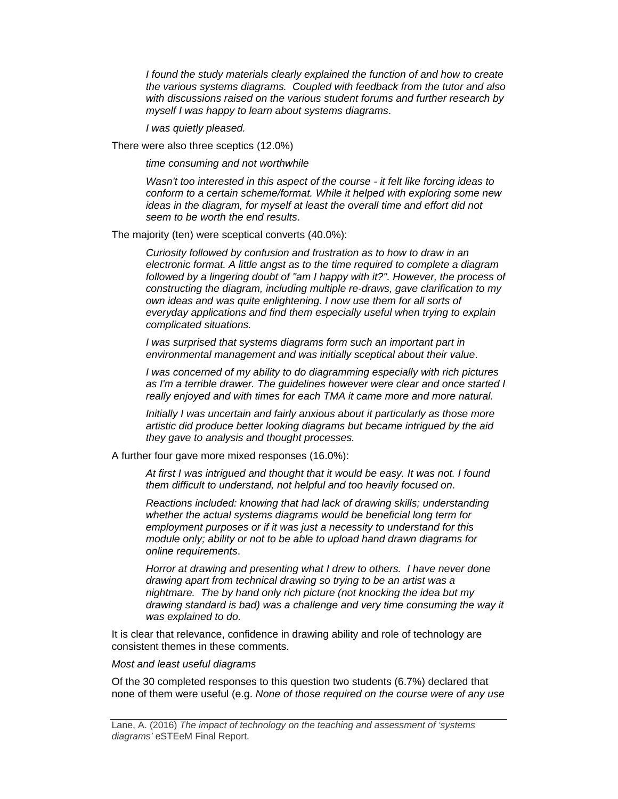*I found the study materials clearly explained the function of and how to create the various systems diagrams. Coupled with feedback from the tutor and also with discussions raised on the various student forums and further research by myself I was happy to learn about systems diagrams*.

*I was quietly pleased.* 

There were also three sceptics (12.0%)

*time consuming and not worthwhile*

*Wasn't too interested in this aspect of the course - it felt like forcing ideas to conform to a certain scheme/format. While it helped with exploring some new ideas in the diagram, for myself at least the overall time and effort did not seem to be worth the end results*.

The majority (ten) were sceptical converts (40.0%):

*Curiosity followed by confusion and frustration as to how to draw in an electronic format. A little angst as to the time required to complete a diagram followed by a lingering doubt of "am I happy with it?". However, the process of constructing the diagram, including multiple re-draws, gave clarification to my own ideas and was quite enlightening. I now use them for all sorts of everyday applications and find them especially useful when trying to explain complicated situations.*

*I was surprised that systems diagrams form such an important part in environmental management and was initially sceptical about their value*.

*I was concerned of my ability to do diagramming especially with rich pictures as I'm a terrible drawer. The guidelines however were clear and once started I really enjoyed and with times for each TMA it came more and more natural.* 

*Initially I was uncertain and fairly anxious about it particularly as those more artistic did produce better looking diagrams but became intrigued by the aid they gave to analysis and thought processes.* 

A further four gave more mixed responses (16.0%):

*At first I was intrigued and thought that it would be easy. It was not. I found them difficult to understand, not helpful and too heavily focused on*.

*Reactions included: knowing that had lack of drawing skills; understanding whether the actual systems diagrams would be beneficial long term for employment purposes or if it was just a necessity to understand for this module only; ability or not to be able to upload hand drawn diagrams for online requirements*.

*Horror at drawing and presenting what I drew to others. I have never done drawing apart from technical drawing so trying to be an artist was a nightmare. The by hand only rich picture (not knocking the idea but my drawing standard is bad) was a challenge and very time consuming the way it was explained to do.* 

It is clear that relevance, confidence in drawing ability and role of technology are consistent themes in these comments.

*Most and least useful diagrams* 

Of the 30 completed responses to this question two students (6.7%) declared that none of them were useful (e.g. *None of those required on the course were of any use* 

Lane, A. (2016) *The impact of technology on the teaching and assessment of 'systems diagrams'* eSTEeM Final Report.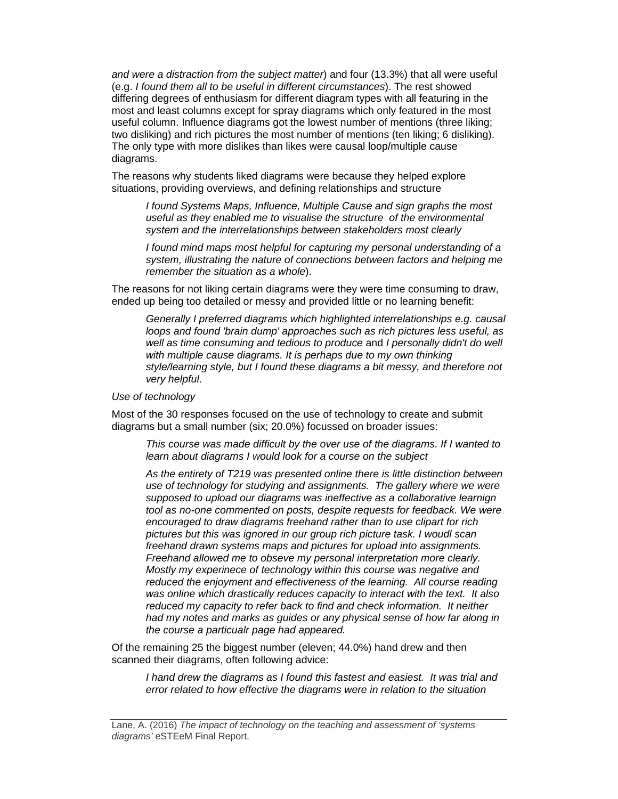*and were a distraction from the subject matter*) and four (13.3%) that all were useful (e.g. *I found them all to be useful in different circumstances*). The rest showed differing degrees of enthusiasm for different diagram types with all featuring in the most and least columns except for spray diagrams which only featured in the most useful column. Influence diagrams got the lowest number of mentions (three liking; two disliking) and rich pictures the most number of mentions (ten liking; 6 disliking). The only type with more dislikes than likes were causal loop/multiple cause diagrams.

The reasons why students liked diagrams were because they helped explore situations, providing overviews, and defining relationships and structure

*I found Systems Maps, Influence, Multiple Cause and sign graphs the most useful as they enabled me to visualise the structure of the environmental system and the interrelationships between stakeholders most clearly* 

*I found mind maps most helpful for capturing my personal understanding of a system, illustrating the nature of connections between factors and helping me remember the situation as a whole*).

The reasons for not liking certain diagrams were they were time consuming to draw, ended up being too detailed or messy and provided little or no learning benefit:

*Generally I preferred diagrams which highlighted interrelationships e.g. causal loops and found 'brain dump' approaches such as rich pictures less useful, as well as time consuming and tedious to produce* and *I personally didn't do well with multiple cause diagrams. It is perhaps due to my own thinking style/learning style, but I found these diagrams a bit messy, and therefore not very helpful*.

#### *Use of technology*

Most of the 30 responses focused on the use of technology to create and submit diagrams but a small number (six; 20.0%) focussed on broader issues:

*This course was made difficult by the over use of the diagrams. If I wanted to learn about diagrams I would look for a course on the subject* 

*As the entirety of T219 was presented online there is little distinction between use of technology for studying and assignments. The gallery where we were supposed to upload our diagrams was ineffective as a collaborative learnign tool as no-one commented on posts, despite requests for feedback. We were encouraged to draw diagrams freehand rather than to use clipart for rich pictures but this was ignored in our group rich picture task. I woudl scan freehand drawn systems maps and pictures for upload into assignments. Freehand allowed me to obseve my personal interpretation more clearly. Mostly my experinece of technology within this course was negative and reduced the enjoyment and effectiveness of the learning. All course reading was online which drastically reduces capacity to interact with the text. It also reduced my capacity to refer back to find and check information. It neither had my notes and marks as guides or any physical sense of how far along in the course a particualr page had appeared.* 

Of the remaining 25 the biggest number (eleven; 44.0%) hand drew and then scanned their diagrams, often following advice:

*I hand drew the diagrams as I found this fastest and easiest. It was trial and error related to how effective the diagrams were in relation to the situation*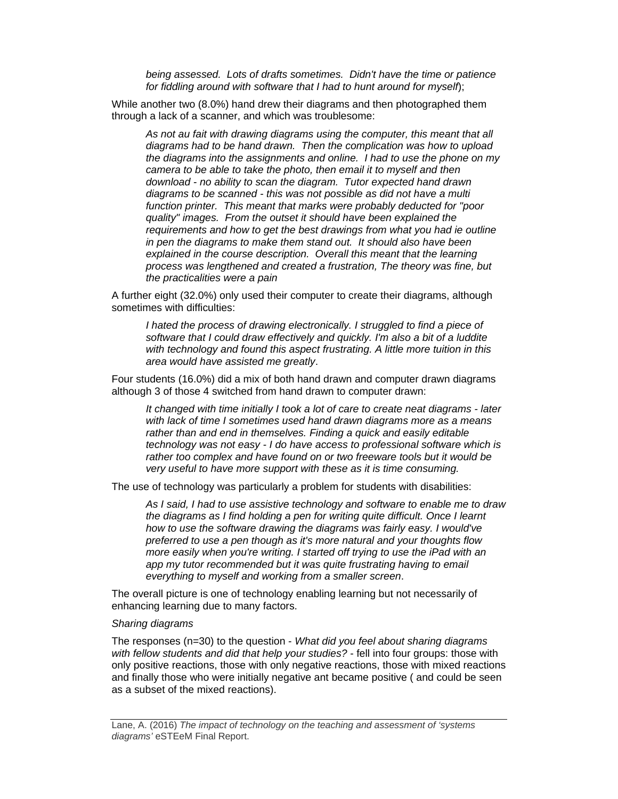*being assessed. Lots of drafts sometimes. Didn't have the time or patience for fiddling around with software that I had to hunt around for myself*);

While another two (8.0%) hand drew their diagrams and then photographed them through a lack of a scanner, and which was troublesome:

*As not au fait with drawing diagrams using the computer, this meant that all diagrams had to be hand drawn. Then the complication was how to upload the diagrams into the assignments and online. I had to use the phone on my camera to be able to take the photo, then email it to myself and then download - no ability to scan the diagram. Tutor expected hand drawn diagrams to be scanned - this was not possible as did not have a multi function printer. This meant that marks were probably deducted for "poor quality" images. From the outset it should have been explained the requirements and how to get the best drawings from what you had ie outline in pen the diagrams to make them stand out. It should also have been*  explained in the course description. Overall this meant that the learning *process was lengthened and created a frustration, The theory was fine, but the practicalities were a pain* 

A further eight (32.0%) only used their computer to create their diagrams, although sometimes with difficulties:

*I hated the process of drawing electronically. I struggled to find a piece of software that I could draw effectively and quickly. I'm also a bit of a luddite with technology and found this aspect frustrating. A little more tuition in this area would have assisted me greatly*.

Four students (16.0%) did a mix of both hand drawn and computer drawn diagrams although 3 of those 4 switched from hand drawn to computer drawn:

*It changed with time initially I took a lot of care to create neat diagrams - later with lack of time I sometimes used hand drawn diagrams more as a means rather than and end in themselves. Finding a quick and easily editable technology was not easy - I do have access to professional software which is rather too complex and have found on or two freeware tools but it would be very useful to have more support with these as it is time consuming.* 

The use of technology was particularly a problem for students with disabilities:

*As I said, I had to use assistive technology and software to enable me to draw the diagrams as I find holding a pen for writing quite difficult. Once I learnt how to use the software drawing the diagrams was fairly easy. I would've preferred to use a pen though as it's more natural and your thoughts flow more easily when you're writing. I started off trying to use the iPad with an app my tutor recommended but it was quite frustrating having to email everything to myself and working from a smaller screen*.

The overall picture is one of technology enabling learning but not necessarily of enhancing learning due to many factors.

# *Sharing diagrams*

The responses (n=30) to the question - *What did you feel about sharing diagrams with fellow students and did that help your studies?* - fell into four groups: those with only positive reactions, those with only negative reactions, those with mixed reactions and finally those who were initially negative ant became positive ( and could be seen as a subset of the mixed reactions).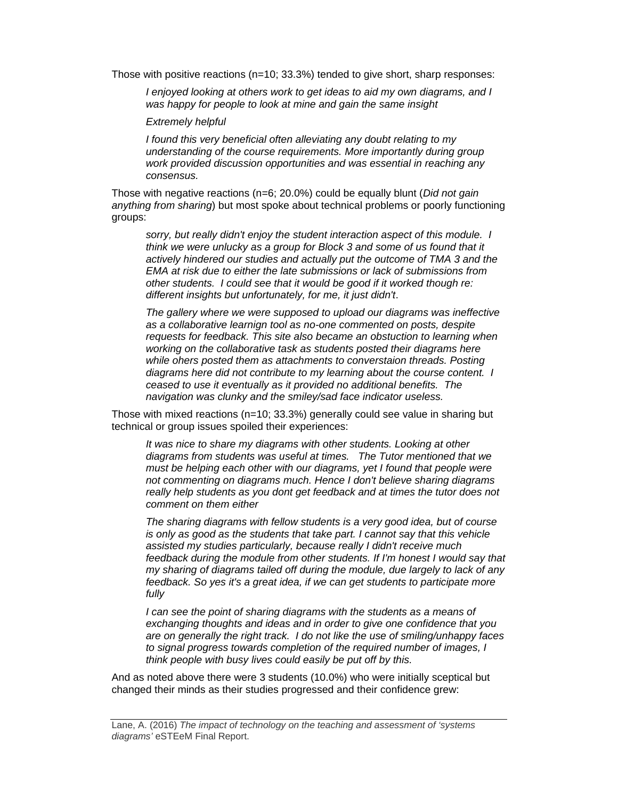Those with positive reactions (n=10; 33.3%) tended to give short, sharp responses:

*I enjoyed looking at others work to get ideas to aid my own diagrams, and I was happy for people to look at mine and gain the same insight* 

*Extremely helpful* 

*I found this very beneficial often alleviating any doubt relating to my understanding of the course requirements. More importantly during group work provided discussion opportunities and was essential in reaching any consensus.* 

Those with negative reactions (n=6; 20.0%) could be equally blunt (*Did not gain anything from sharing*) but most spoke about technical problems or poorly functioning groups:

*sorry, but really didn't enjoy the student interaction aspect of this module. I think we were unlucky as a group for Block 3 and some of us found that it actively hindered our studies and actually put the outcome of TMA 3 and the EMA at risk due to either the late submissions or lack of submissions from other students. I could see that it would be good if it worked though re: different insights but unfortunately, for me, it just didn't*.

*The gallery where we were supposed to upload our diagrams was ineffective as a collaborative learnign tool as no-one commented on posts, despite requests for feedback. This site also became an obstuction to learning when working on the collaborative task as students posted their diagrams here while ohers posted them as attachments to converstaion threads. Posting diagrams here did not contribute to my learning about the course content. I ceased to use it eventually as it provided no additional benefits. The navigation was clunky and the smiley/sad face indicator useless.* 

Those with mixed reactions ( $n=10$ ; 33.3%) generally could see value in sharing but technical or group issues spoiled their experiences:

*It was nice to share my diagrams with other students. Looking at other diagrams from students was useful at times. The Tutor mentioned that we must be helping each other with our diagrams, yet I found that people were not commenting on diagrams much. Hence I don't believe sharing diagrams really help students as you dont get feedback and at times the tutor does not comment on them either* 

*The sharing diagrams with fellow students is a very good idea, but of course is only as good as the students that take part. I cannot say that this vehicle assisted my studies particularly, because really I didn't receive much feedback during the module from other students. If I'm honest I would say that my sharing of diagrams tailed off during the module, due largely to lack of any feedback. So yes it's a great idea, if we can get students to participate more fully* 

*I* can see the point of sharing diagrams with the students as a means of *exchanging thoughts and ideas and in order to give one confidence that you are on generally the right track. I do not like the use of smiling/unhappy faces to signal progress towards completion of the required number of images, I think people with busy lives could easily be put off by this.* 

And as noted above there were 3 students (10.0%) who were initially sceptical but changed their minds as their studies progressed and their confidence grew: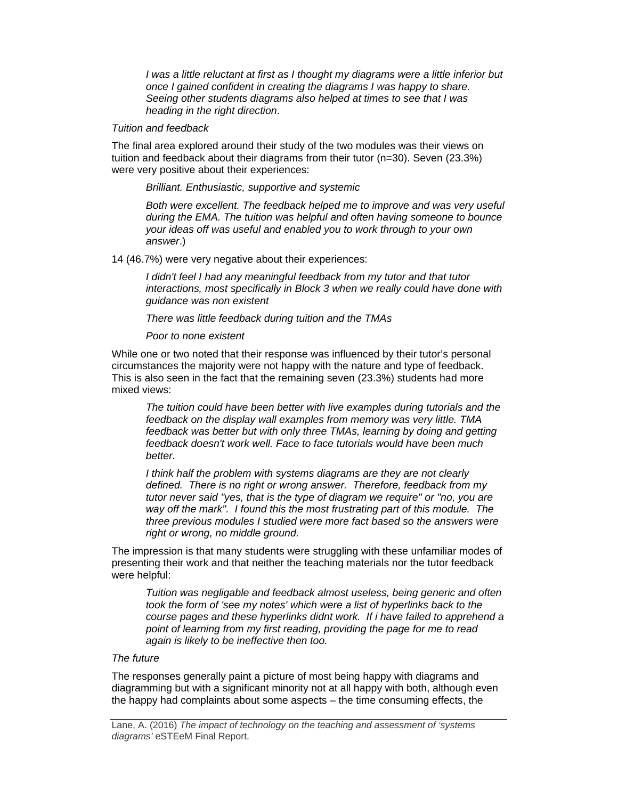*I was a little reluctant at first as I thought my diagrams were a little inferior but once I gained confident in creating the diagrams I was happy to share. Seeing other students diagrams also helped at times to see that I was heading in the right direction*.

#### *Tuition and feedback*

The final area explored around their study of the two modules was their views on tuition and feedback about their diagrams from their tutor (n=30). Seven (23.3%) were very positive about their experiences:

#### *Brilliant. Enthusiastic, supportive and systemic*

*Both were excellent. The feedback helped me to improve and was very useful during the EMA. The tuition was helpful and often having someone to bounce your ideas off was useful and enabled you to work through to your own answer*.)

14 (46.7%) were very negative about their experiences:

*I didn't feel I had any meaningful feedback from my tutor and that tutor interactions, most specifically in Block 3 when we really could have done with guidance was non existent*

# *There was little feedback during tuition and the TMAs*

#### *Poor to none existent*

While one or two noted that their response was influenced by their tutor's personal circumstances the majority were not happy with the nature and type of feedback. This is also seen in the fact that the remaining seven (23.3%) students had more mixed views:

*The tuition could have been better with live examples during tutorials and the feedback on the display wall examples from memory was very little. TMA feedback was better but with only three TMAs, learning by doing and getting feedback doesn't work well. Face to face tutorials would have been much better.* 

*I think half the problem with systems diagrams are they are not clearly defined. There is no right or wrong answer. Therefore, feedback from my tutor never said "yes, that is the type of diagram we require" or "no, you are way off the mark". I found this the most frustrating part of this module. The three previous modules I studied were more fact based so the answers were right or wrong, no middle ground.* 

The impression is that many students were struggling with these unfamiliar modes of presenting their work and that neither the teaching materials nor the tutor feedback were helpful:

*Tuition was negligable and feedback almost useless, being generic and often took the form of 'see my notes' which were a list of hyperlinks back to the course pages and these hyperlinks didnt work. If i have failed to apprehend a point of learning from my first reading, providing the page for me to read again is likely to be ineffective then too.* 

# *The future*

The responses generally paint a picture of most being happy with diagrams and diagramming but with a significant minority not at all happy with both, although even the happy had complaints about some aspects – the time consuming effects, the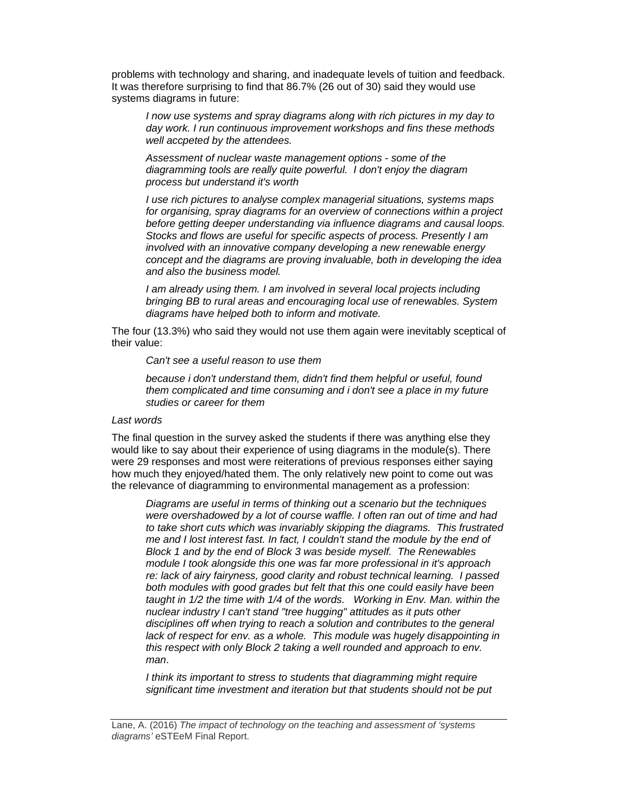problems with technology and sharing, and inadequate levels of tuition and feedback. It was therefore surprising to find that 86.7% (26 out of 30) said they would use systems diagrams in future:

*I now use systems and spray diagrams along with rich pictures in my day to day work. I run continuous improvement workshops and fins these methods well accpeted by the attendees.* 

*Assessment of nuclear waste management options - some of the diagramming tools are really quite powerful. I don't enjoy the diagram process but understand it's worth* 

*I use rich pictures to analyse complex managerial situations, systems maps for organising, spray diagrams for an overview of connections within a project before getting deeper understanding via influence diagrams and causal loops. Stocks and flows are useful for specific aspects of process. Presently I am involved with an innovative company developing a new renewable energy concept and the diagrams are proving invaluable, both in developing the idea and also the business model.* 

*I am already using them. I am involved in several local projects including bringing BB to rural areas and encouraging local use of renewables. System diagrams have helped both to inform and motivate.* 

The four (13.3%) who said they would not use them again were inevitably sceptical of their value:

*Can't see a useful reason to use them* 

*because i don't understand them, didn't find them helpful or useful, found them complicated and time consuming and i don't see a place in my future studies or career for them* 

# *Last words*

The final question in the survey asked the students if there was anything else they would like to say about their experience of using diagrams in the module(s). There were 29 responses and most were reiterations of previous responses either saying how much they enjoyed/hated them. The only relatively new point to come out was the relevance of diagramming to environmental management as a profession:

*Diagrams are useful in terms of thinking out a scenario but the techniques were overshadowed by a lot of course waffle. I often ran out of time and had to take short cuts which was invariably skipping the diagrams. This frustrated me and I lost interest fast. In fact, I couldn't stand the module by the end of Block 1 and by the end of Block 3 was beside myself. The Renewables module I took alongside this one was far more professional in it's approach re: lack of airy fairyness, good clarity and robust technical learning. I passed both modules with good grades but felt that this one could easily have been taught in 1/2 the time with 1/4 of the words. Working in Env. Man. within the nuclear industry I can't stand "tree hugging" attitudes as it puts other disciplines off when trying to reach a solution and contributes to the general lack of respect for env. as a whole. This module was hugely disappointing in this respect with only Block 2 taking a well rounded and approach to env. man*.

*I think its important to stress to students that diagramming might require significant time investment and iteration but that students should not be put*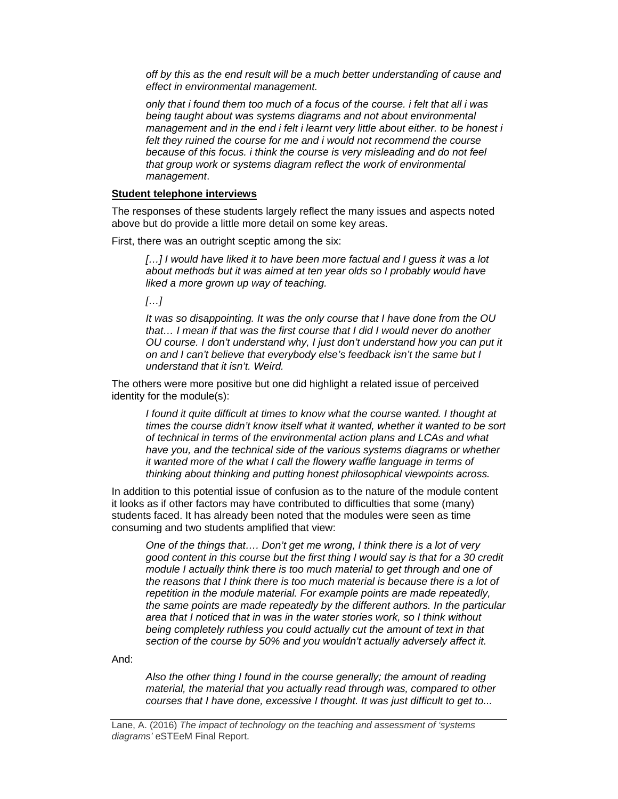*off by this as the end result will be a much better understanding of cause and effect in environmental management.* 

*only that i found them too much of a focus of the course. i felt that all i was being taught about was systems diagrams and not about environmental management and in the end i felt i learnt very little about either. to be honest i felt they ruined the course for me and i would not recommend the course because of this focus. i think the course is very misleading and do not feel that group work or systems diagram reflect the work of environmental management*.

#### **Student telephone interviews**

The responses of these students largely reflect the many issues and aspects noted above but do provide a little more detail on some key areas.

First, there was an outright sceptic among the six:

[...] I would have liked it to have been more factual and I guess it was a lot *about methods but it was aimed at ten year olds so I probably would have liked a more grown up way of teaching.* 

*[…]* 

*It was so disappointing. It was the only course that I have done from the OU that… I mean if that was the first course that I did I would never do another OU course. I don't understand why, I just don't understand how you can put it on and I can't believe that everybody else's feedback isn't the same but I understand that it isn't. Weird.* 

The others were more positive but one did highlight a related issue of perceived identity for the module(s):

*I found it quite difficult at times to know what the course wanted. I thought at times the course didn't know itself what it wanted, whether it wanted to be sort of technical in terms of the environmental action plans and LCAs and what have you, and the technical side of the various systems diagrams or whether it wanted more of the what I call the flowery waffle language in terms of thinking about thinking and putting honest philosophical viewpoints across.* 

In addition to this potential issue of confusion as to the nature of the module content it looks as if other factors may have contributed to difficulties that some (many) students faced. It has already been noted that the modules were seen as time consuming and two students amplified that view:

*One of the things that…. Don't get me wrong, I think there is a lot of very good content in this course but the first thing I would say is that for a 30 credit module I actually think there is too much material to get through and one of the reasons that I think there is too much material is because there is a lot of repetition in the module material. For example points are made repeatedly, the same points are made repeatedly by the different authors. In the particular area that I noticed that in was in the water stories work, so I think without being completely ruthless you could actually cut the amount of text in that section of the course by 50% and you wouldn't actually adversely affect it.* 

And:

*Also the other thing I found in the course generally; the amount of reading material, the material that you actually read through was, compared to other courses that I have done, excessive I thought. It was just difficult to get to...*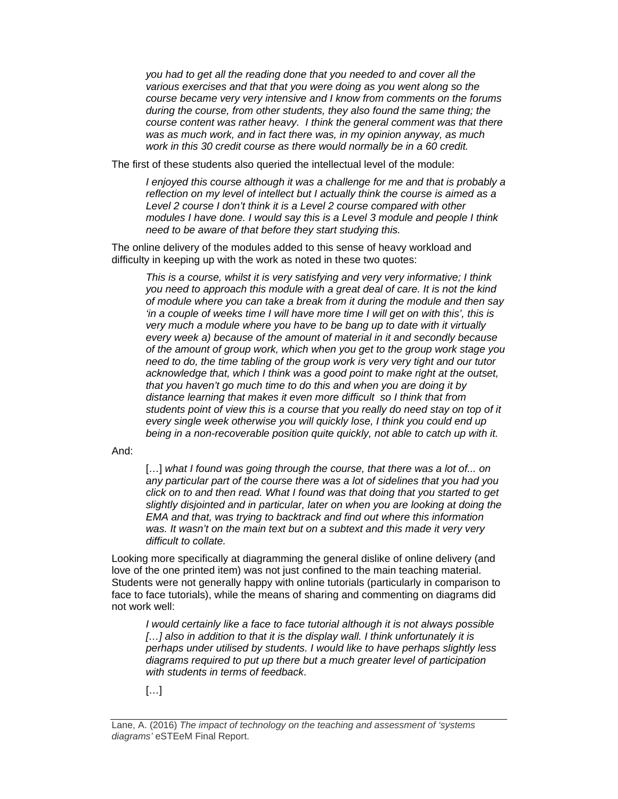*you had to get all the reading done that you needed to and cover all the various exercises and that that you were doing as you went along so the course became very very intensive and I know from comments on the forums during the course, from other students, they also found the same thing; the course content was rather heavy. I think the general comment was that there was as much work, and in fact there was, in my opinion anyway, as much work in this 30 credit course as there would normally be in a 60 credit.* 

The first of these students also queried the intellectual level of the module:

*I enjoyed this course although it was a challenge for me and that is probably a reflection on my level of intellect but I actually think the course is aimed as a Level 2 course I don't think it is a Level 2 course compared with other modules I have done. I would say this is a Level 3 module and people I think need to be aware of that before they start studying this.* 

The online delivery of the modules added to this sense of heavy workload and difficulty in keeping up with the work as noted in these two quotes:

*This is a course, whilst it is very satisfying and very very informative; I think you need to approach this module with a great deal of care. It is not the kind of module where you can take a break from it during the module and then say 'in a couple of weeks time I will have more time I will get on with this', this is very much a module where you have to be bang up to date with it virtually every week a) because of the amount of material in it and secondly because of the amount of group work, which when you get to the group work stage you need to do, the time tabling of the group work is very very tight and our tutor acknowledge that, which I think was a good point to make right at the outset, that you haven't go much time to do this and when you are doing it by distance learning that makes it even more difficult so I think that from students point of view this is a course that you really do need stay on top of it every single week otherwise you will quickly lose, I think you could end up being in a non-recoverable position quite quickly, not able to catch up with it.* 

And:

[...] what I found was going through the course, that there was a lot of... on *any particular part of the course there was a lot of sidelines that you had you click on to and then read. What I found was that doing that you started to get slightly disjointed and in particular, later on when you are looking at doing the EMA and that, was trying to backtrack and find out where this information was. It wasn't on the main text but on a subtext and this made it very very difficult to collate.* 

Looking more specifically at diagramming the general dislike of online delivery (and love of the one printed item) was not just confined to the main teaching material. Students were not generally happy with online tutorials (particularly in comparison to face to face tutorials), while the means of sharing and commenting on diagrams did not work well:

*I would certainly like a face to face tutorial although it is not always possible […] also in addition to that it is the display wall. I think unfortunately it is perhaps under utilised by students. I would like to have perhaps slightly less diagrams required to put up there but a much greater level of participation with students in terms of feedback*.

[…]

Lane, A. (2016) *The impact of technology on the teaching and assessment of 'systems diagrams'* eSTEeM Final Report.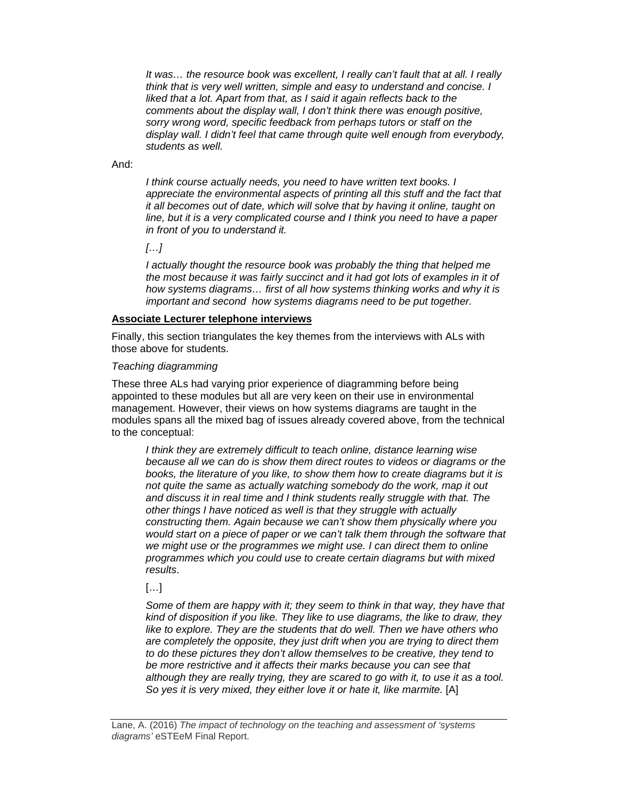*It was… the resource book was excellent, I really can't fault that at all. I really think that is very well written, simple and easy to understand and concise. I*  liked that a lot. Apart from that, as I said it again reflects back to the *comments about the display wall, I don't think there was enough positive, sorry wrong word, specific feedback from perhaps tutors or staff on the display wall. I didn't feel that came through quite well enough from everybody, students as well.* 

#### And:

*I think course actually needs, you need to have written text books. I appreciate the environmental aspects of printing all this stuff and the fact that it all becomes out of date, which will solve that by having it online, taught on line, but it is a very complicated course and I think you need to have a paper in front of you to understand it.* 

*[…]* 

*I* actually thought the resource book was probably the thing that helped me *the most because it was fairly succinct and it had got lots of examples in it of how systems diagrams… first of all how systems thinking works and why it is important and second how systems diagrams need to be put together.* 

# **Associate Lecturer telephone interviews**

Finally, this section triangulates the key themes from the interviews with ALs with those above for students.

*Teaching diagramming* 

These three ALs had varying prior experience of diagramming before being appointed to these modules but all are very keen on their use in environmental management. However, their views on how systems diagrams are taught in the modules spans all the mixed bag of issues already covered above, from the technical to the conceptual:

*I think they are extremely difficult to teach online, distance learning wise because all we can do is show them direct routes to videos or diagrams or the books, the literature of you like, to show them how to create diagrams but it is not quite the same as actually watching somebody do the work, map it out and discuss it in real time and I think students really struggle with that. The other things I have noticed as well is that they struggle with actually constructing them. Again because we can't show them physically where you would start on a piece of paper or we can't talk them through the software that we might use or the programmes we might use. I can direct them to online programmes which you could use to create certain diagrams but with mixed results*.

[…]

*Some of them are happy with it; they seem to think in that way, they have that kind of disposition if you like. They like to use diagrams, the like to draw, they like to explore. They are the students that do well. Then we have others who are completely the opposite, they just drift when you are trying to direct them to do these pictures they don't allow themselves to be creative, they tend to be more restrictive and it affects their marks because you can see that although they are really trying, they are scared to go with it, to use it as a tool. So yes it is very mixed, they either love it or hate it, like marmite.* [A]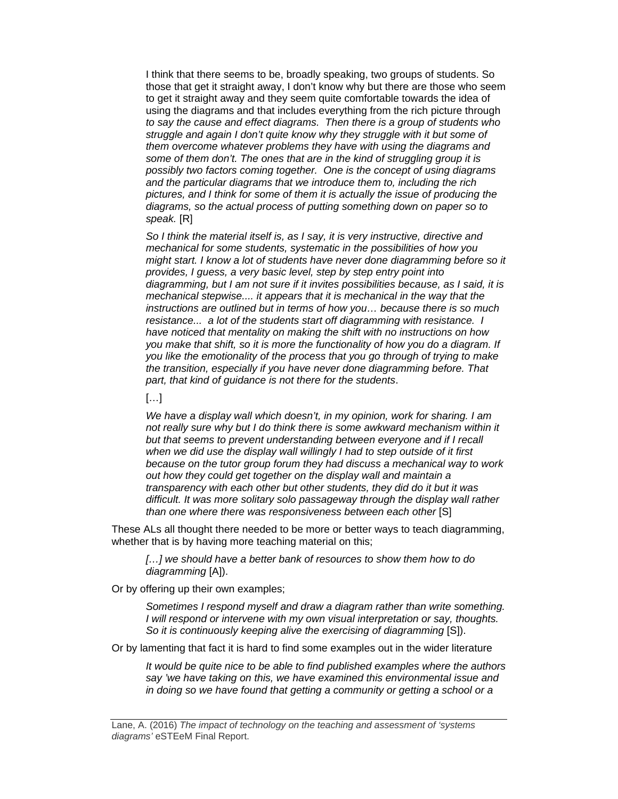I think that there seems to be, broadly speaking, two groups of students. So those that get it straight away, I don't know why but there are those who seem to get it straight away and they seem quite comfortable towards the idea of using the diagrams and that includes everything from the rich picture through *to say the cause and effect diagrams. Then there is a group of students who struggle and again I don't quite know why they struggle with it but some of them overcome whatever problems they have with using the diagrams and some of them don't. The ones that are in the kind of struggling group it is possibly two factors coming together. One is the concept of using diagrams and the particular diagrams that we introduce them to, including the rich pictures, and I think for some of them it is actually the issue of producing the diagrams, so the actual process of putting something down on paper so to speak.* [R]

*So I think the material itself is, as I say, it is very instructive, directive and mechanical for some students, systematic in the possibilities of how you might start. I know a lot of students have never done diagramming before so it provides, I guess, a very basic level, step by step entry point into diagramming, but I am not sure if it invites possibilities because, as I said, it is mechanical stepwise.... it appears that it is mechanical in the way that the instructions are outlined but in terms of how you… because there is so much resistance... a lot of the students start off diagramming with resistance. I have noticed that mentality on making the shift with no instructions on how you make that shift, so it is more the functionality of how you do a diagram. If you like the emotionality of the process that you go through of trying to make the transition, especially if you have never done diagramming before. That part, that kind of guidance is not there for the students*.

[…]

*We have a display wall which doesn't, in my opinion, work for sharing. I am not really sure why but I do think there is some awkward mechanism within it but that seems to prevent understanding between everyone and if I recall when we did use the display wall willingly I had to step outside of it first because on the tutor group forum they had discuss a mechanical way to work out how they could get together on the display wall and maintain a transparency with each other but other students, they did do it but it was difficult. It was more solitary solo passageway through the display wall rather than one where there was responsiveness between each other* [S]

These ALs all thought there needed to be more or better ways to teach diagramming, whether that is by having more teaching material on this;

*[…] we should have a better bank of resources to show them how to do diagramming* [A]).

Or by offering up their own examples;

*Sometimes I respond myself and draw a diagram rather than write something. I* will respond or intervene with my own visual interpretation or say, thoughts. *So it is continuously keeping alive the exercising of diagramming* [S]).

Or by lamenting that fact it is hard to find some examples out in the wider literature

*It would be quite nice to be able to find published examples where the authors say 'we have taking on this, we have examined this environmental issue and in doing so we have found that getting a community or getting a school or a* 

Lane, A. (2016) *The impact of technology on the teaching and assessment of 'systems diagrams'* eSTEeM Final Report.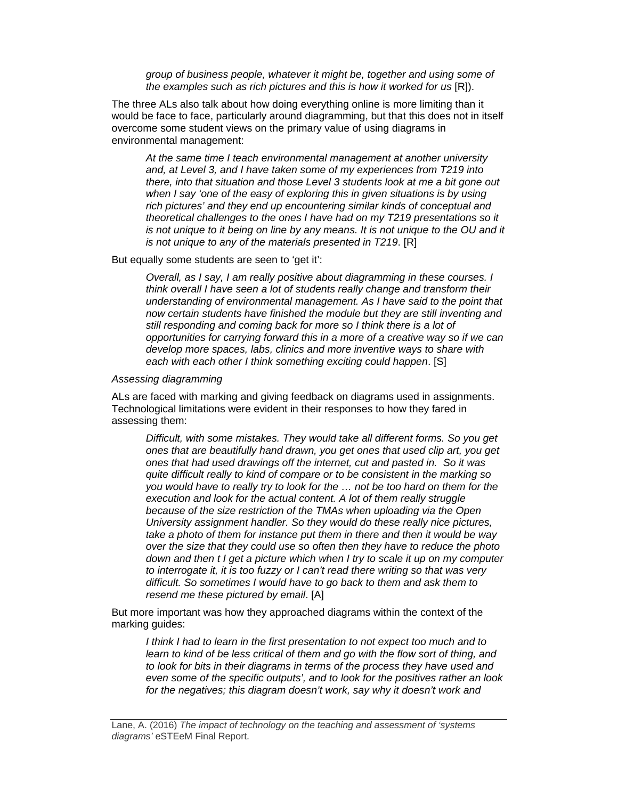*group of business people, whatever it might be, together and using some of the examples such as rich pictures and this is how it worked for us* [R]).

The three ALs also talk about how doing everything online is more limiting than it would be face to face, particularly around diagramming, but that this does not in itself overcome some student views on the primary value of using diagrams in environmental management:

*At the same time I teach environmental management at another university and, at Level 3, and I have taken some of my experiences from T219 into there, into that situation and those Level 3 students look at me a bit gone out when I say 'one of the easy of exploring this in given situations is by using rich pictures' and they end up encountering similar kinds of conceptual and theoretical challenges to the ones I have had on my T219 presentations so it is not unique to it being on line by any means. It is not unique to the OU and it is not unique to any of the materials presented in T219*. [R]

But equally some students are seen to 'get it':

*Overall, as I say, I am really positive about diagramming in these courses. I think overall I have seen a lot of students really change and transform their understanding of environmental management. As I have said to the point that now certain students have finished the module but they are still inventing and still responding and coming back for more so I think there is a lot of opportunities for carrying forward this in a more of a creative way so if we can develop more spaces, labs, clinics and more inventive ways to share with each with each other I think something exciting could happen*. [S]

#### *Assessing diagramming*

ALs are faced with marking and giving feedback on diagrams used in assignments. Technological limitations were evident in their responses to how they fared in assessing them:

*Difficult, with some mistakes. They would take all different forms. So you get ones that are beautifully hand drawn, you get ones that used clip art, you get ones that had used drawings off the internet, cut and pasted in. So it was quite difficult really to kind of compare or to be consistent in the marking so you would have to really try to look for the … not be too hard on them for the execution and look for the actual content. A lot of them really struggle because of the size restriction of the TMAs when uploading via the Open University assignment handler. So they would do these really nice pictures, take a photo of them for instance put them in there and then it would be way over the size that they could use so often then they have to reduce the photo down and then t I get a picture which when I try to scale it up on my computer to interrogate it, it is too fuzzy or I can't read there writing so that was very difficult. So sometimes I would have to go back to them and ask them to resend me these pictured by email*. [A]

But more important was how they approached diagrams within the context of the marking guides:

*I think I had to learn in the first presentation to not expect too much and to learn to kind of be less critical of them and go with the flow sort of thing, and to look for bits in their diagrams in terms of the process they have used and even some of the specific outputs', and to look for the positives rather an look*  for the negatives; this diagram doesn't work, say why it doesn't work and

Lane, A. (2016) *The impact of technology on the teaching and assessment of 'systems diagrams'* eSTEeM Final Report.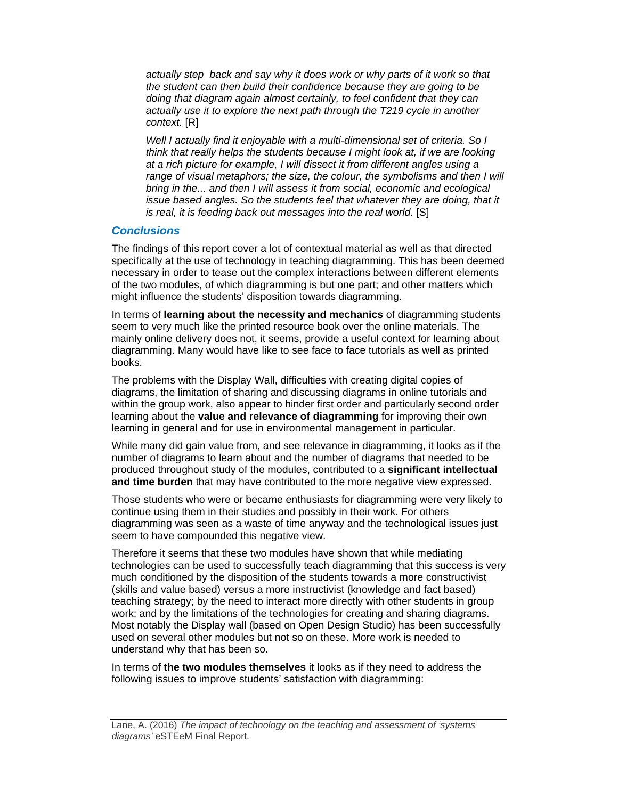*actually step back and say why it does work or why parts of it work so that the student can then build their confidence because they are going to be doing that diagram again almost certainly, to feel confident that they can actually use it to explore the next path through the T219 cycle in another context.* [R]

*Well I actually find it enjoyable with a multi-dimensional set of criteria. So I think that really helps the students because I might look at, if we are looking at a rich picture for example, I will dissect it from different angles using a range of visual metaphors; the size, the colour, the symbolisms and then I will bring in the... and then I will assess it from social, economic and ecological issue based angles. So the students feel that whatever they are doing, that it is real, it is feeding back out messages into the real world.* [S]

# *Conclusions*

The findings of this report cover a lot of contextual material as well as that directed specifically at the use of technology in teaching diagramming. This has been deemed necessary in order to tease out the complex interactions between different elements of the two modules, of which diagramming is but one part; and other matters which might influence the students' disposition towards diagramming.

In terms of **learning about the necessity and mechanics** of diagramming students seem to very much like the printed resource book over the online materials. The mainly online delivery does not, it seems, provide a useful context for learning about diagramming. Many would have like to see face to face tutorials as well as printed books.

The problems with the Display Wall, difficulties with creating digital copies of diagrams, the limitation of sharing and discussing diagrams in online tutorials and within the group work, also appear to hinder first order and particularly second order learning about the **value and relevance of diagramming** for improving their own learning in general and for use in environmental management in particular.

While many did gain value from, and see relevance in diagramming, it looks as if the number of diagrams to learn about and the number of diagrams that needed to be produced throughout study of the modules, contributed to a **significant intellectual and time burden** that may have contributed to the more negative view expressed.

Those students who were or became enthusiasts for diagramming were very likely to continue using them in their studies and possibly in their work. For others diagramming was seen as a waste of time anyway and the technological issues just seem to have compounded this negative view.

Therefore it seems that these two modules have shown that while mediating technologies can be used to successfully teach diagramming that this success is very much conditioned by the disposition of the students towards a more constructivist (skills and value based) versus a more instructivist (knowledge and fact based) teaching strategy; by the need to interact more directly with other students in group work; and by the limitations of the technologies for creating and sharing diagrams. Most notably the Display wall (based on Open Design Studio) has been successfully used on several other modules but not so on these. More work is needed to understand why that has been so.

In terms of **the two modules themselves** it looks as if they need to address the following issues to improve students' satisfaction with diagramming: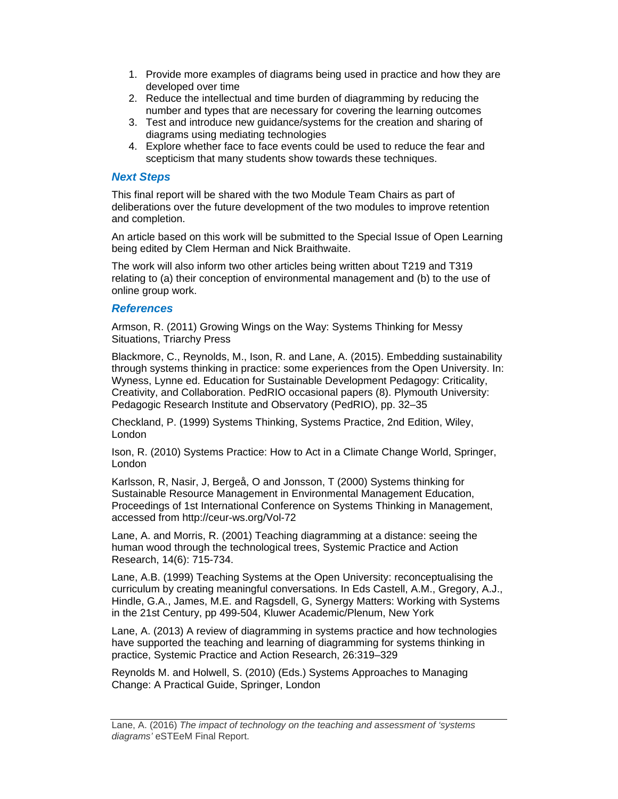- 1. Provide more examples of diagrams being used in practice and how they are developed over time
- 2. Reduce the intellectual and time burden of diagramming by reducing the number and types that are necessary for covering the learning outcomes
- 3. Test and introduce new guidance/systems for the creation and sharing of diagrams using mediating technologies
- 4. Explore whether face to face events could be used to reduce the fear and scepticism that many students show towards these techniques.

# *Next Steps*

This final report will be shared with the two Module Team Chairs as part of deliberations over the future development of the two modules to improve retention and completion.

An article based on this work will be submitted to the Special Issue of Open Learning being edited by Clem Herman and Nick Braithwaite.

The work will also inform two other articles being written about T219 and T319 relating to (a) their conception of environmental management and (b) to the use of online group work.

# *References*

Armson, R. (2011) Growing Wings on the Way: Systems Thinking for Messy Situations, Triarchy Press

Blackmore, C., Reynolds, M., Ison, R. and Lane, A. (2015). Embedding sustainability through systems thinking in practice: some experiences from the Open University. In: Wyness, Lynne ed. Education for Sustainable Development Pedagogy: Criticality, Creativity, and Collaboration. PedRIO occasional papers (8). Plymouth University: Pedagogic Research Institute and Observatory (PedRIO), pp. 32–35

Checkland, P. (1999) Systems Thinking, Systems Practice, 2nd Edition, Wiley, London

Ison, R. (2010) Systems Practice: How to Act in a Climate Change World, Springer, London

Karlsson, R, Nasir, J, Bergeå, O and Jonsson, T (2000) Systems thinking for Sustainable Resource Management in Environmental Management Education, Proceedings of 1st International Conference on Systems Thinking in Management, accessed from http://ceur-ws.org/Vol-72

Lane, A. and Morris, R. (2001) Teaching diagramming at a distance: seeing the human wood through the technological trees, Systemic Practice and Action Research, 14(6): 715-734.

Lane, A.B. (1999) Teaching Systems at the Open University: reconceptualising the curriculum by creating meaningful conversations. In Eds Castell, A.M., Gregory, A.J., Hindle, G.A., James, M.E. and Ragsdell, G, Synergy Matters: Working with Systems in the 21st Century, pp 499-504, Kluwer Academic/Plenum, New York

Lane, A. (2013) A review of diagramming in systems practice and how technologies have supported the teaching and learning of diagramming for systems thinking in practice, Systemic Practice and Action Research, 26:319–329

Reynolds M. and Holwell, S. (2010) (Eds.) Systems Approaches to Managing Change: A Practical Guide, Springer, London

Lane, A. (2016) *The impact of technology on the teaching and assessment of 'systems diagrams'* eSTEeM Final Report.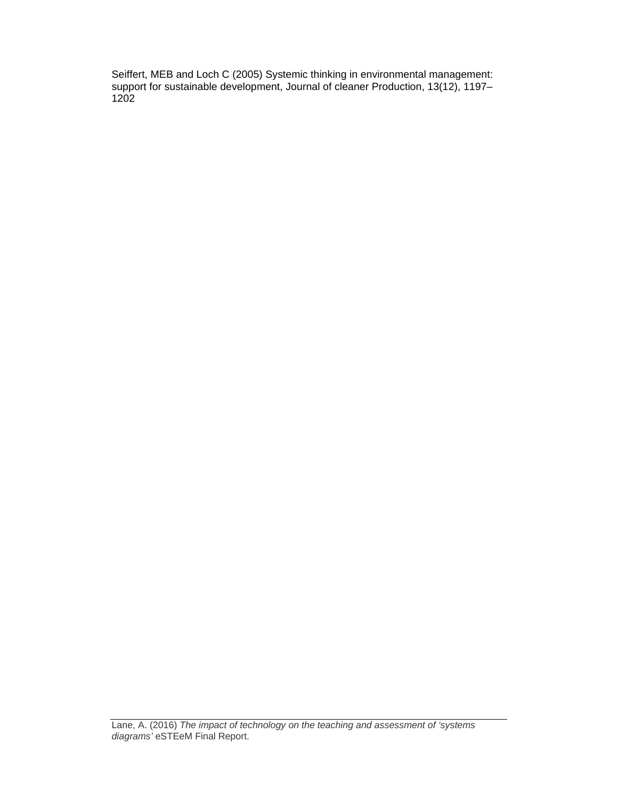Seiffert, MEB and Loch C (2005) Systemic thinking in environmental management: support for sustainable development, Journal of cleaner Production, 13(12), 1197– 1202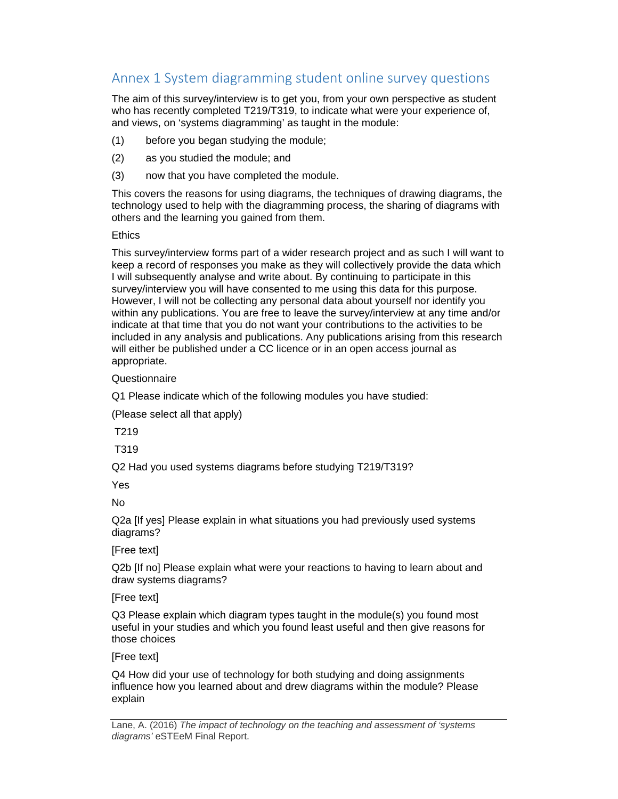# Annex 1 System diagramming student online survey questions

The aim of this survey/interview is to get you, from your own perspective as student who has recently completed T219/T319, to indicate what were your experience of, and views, on 'systems diagramming' as taught in the module:

(1) before you began studying the module;

(2) as you studied the module; and

(3) now that you have completed the module.

This covers the reasons for using diagrams, the techniques of drawing diagrams, the technology used to help with the diagramming process, the sharing of diagrams with others and the learning you gained from them.

# Ethics

This survey/interview forms part of a wider research project and as such I will want to keep a record of responses you make as they will collectively provide the data which I will subsequently analyse and write about. By continuing to participate in this survey/interview you will have consented to me using this data for this purpose. However, I will not be collecting any personal data about yourself nor identify you within any publications. You are free to leave the survey/interview at any time and/or indicate at that time that you do not want your contributions to the activities to be included in any analysis and publications. Any publications arising from this research will either be published under a CC licence or in an open access journal as appropriate.

# **Questionnaire**

Q1 Please indicate which of the following modules you have studied:

(Please select all that apply)

T219

T319

Q2 Had you used systems diagrams before studying T219/T319?

Yes

No

Q2a [If yes] Please explain in what situations you had previously used systems diagrams?

[Free text]

Q2b [If no] Please explain what were your reactions to having to learn about and draw systems diagrams?

# [Free text]

Q3 Please explain which diagram types taught in the module(s) you found most useful in your studies and which you found least useful and then give reasons for those choices

[Free text]

Q4 How did your use of technology for both studying and doing assignments influence how you learned about and drew diagrams within the module? Please explain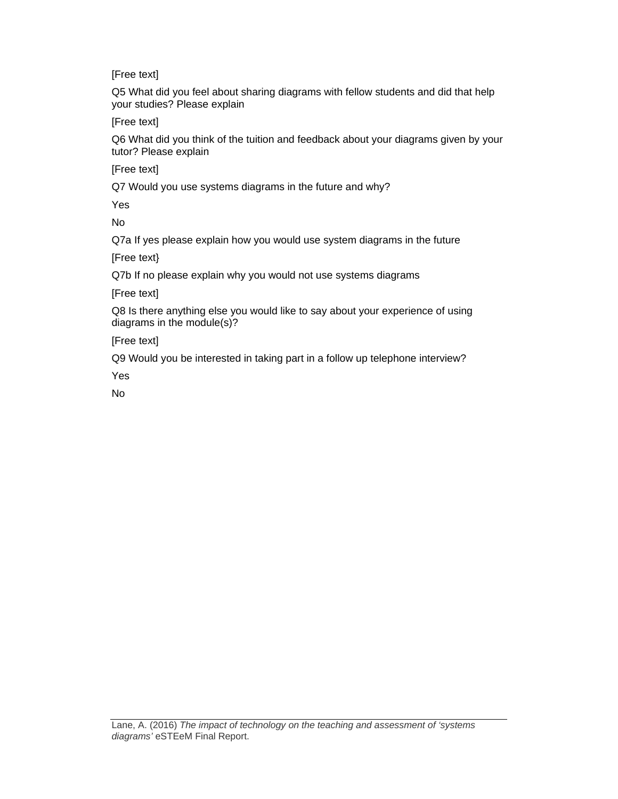# [Free text]

Q5 What did you feel about sharing diagrams with fellow students and did that help your studies? Please explain

[Free text]

Q6 What did you think of the tuition and feedback about your diagrams given by your tutor? Please explain

[Free text]

Q7 Would you use systems diagrams in the future and why?

Yes

No

Q7a If yes please explain how you would use system diagrams in the future

[Free text}

Q7b If no please explain why you would not use systems diagrams

[Free text]

Q8 Is there anything else you would like to say about your experience of using diagrams in the module(s)?

[Free text]

Q9 Would you be interested in taking part in a follow up telephone interview?

Yes

No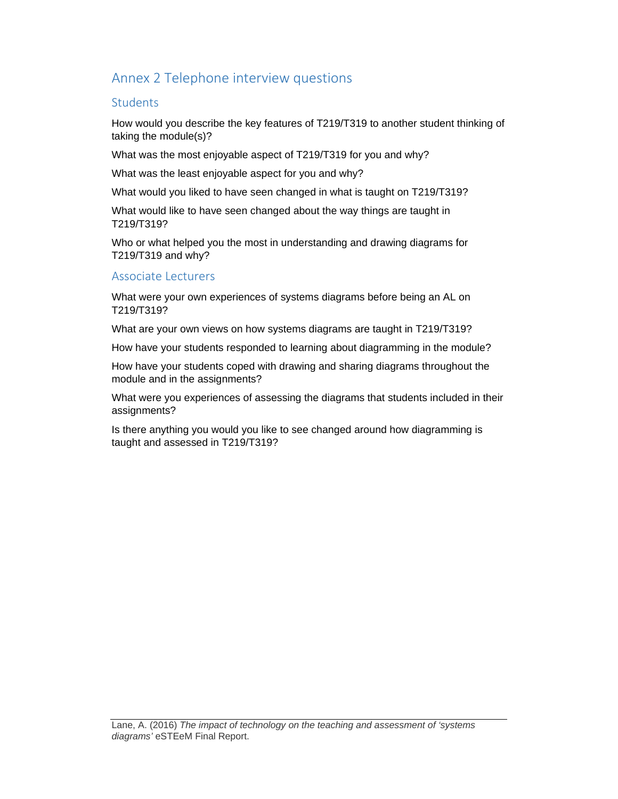# Annex 2 Telephone interview questions

# **Students**

How would you describe the key features of T219/T319 to another student thinking of taking the module(s)?

What was the most enjoyable aspect of T219/T319 for you and why?

What was the least enjoyable aspect for you and why?

What would you liked to have seen changed in what is taught on T219/T319?

What would like to have seen changed about the way things are taught in T219/T319?

Who or what helped you the most in understanding and drawing diagrams for T219/T319 and why?

# Associate Lecturers

What were your own experiences of systems diagrams before being an AL on T219/T319?

What are your own views on how systems diagrams are taught in T219/T319?

How have your students responded to learning about diagramming in the module?

How have your students coped with drawing and sharing diagrams throughout the module and in the assignments?

What were you experiences of assessing the diagrams that students included in their assignments?

Is there anything you would you like to see changed around how diagramming is taught and assessed in T219/T319?